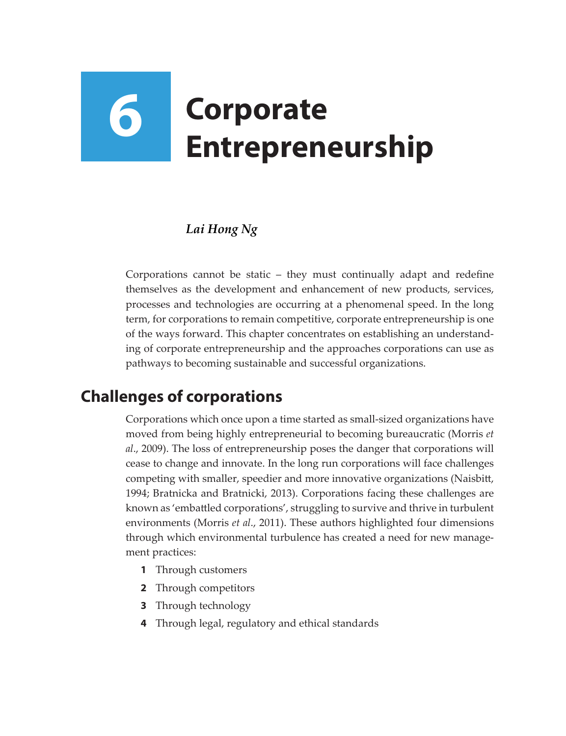# **6 Corporate Entrepreneurship**

## *Lai Hong Ng*

Corporations cannot be static – they must continually adapt and redefine themselves as the development and enhancement of new products, services, processes and technologies are occurring at a phenomenal speed. In the long term, for corporations to remain competitive, corporate entrepreneurship is one of the ways forward. This chapter concentrates on establishing an understanding of corporate entrepreneurship and the approaches corporations can use as pathways to becoming sustainable and successful organizations.

# **Challenges of corporations**

Corporations which once upon a time started as small-sized organizations have moved from being highly entrepreneurial to becoming bureaucratic (Morris *et al*., 2009). The loss of entrepreneurship poses the danger that corporations will cease to change and innovate. In the long run corporations will face challenges competing with smaller, speedier and more innovative organizations (Naisbitt, 1994; Bratnicka and Bratnicki, 2013). Corporations facing these challenges are known as 'embattled corporations', struggling to survive and thrive in turbulent environments (Morris *et al*., 2011). These authors highlighted four dimensions through which environmental turbulence has created a need for new management practices:

- **1** Through customers
- **2** Through competitors
- **3** Through technology
- **4** Through legal, regulatory and ethical standards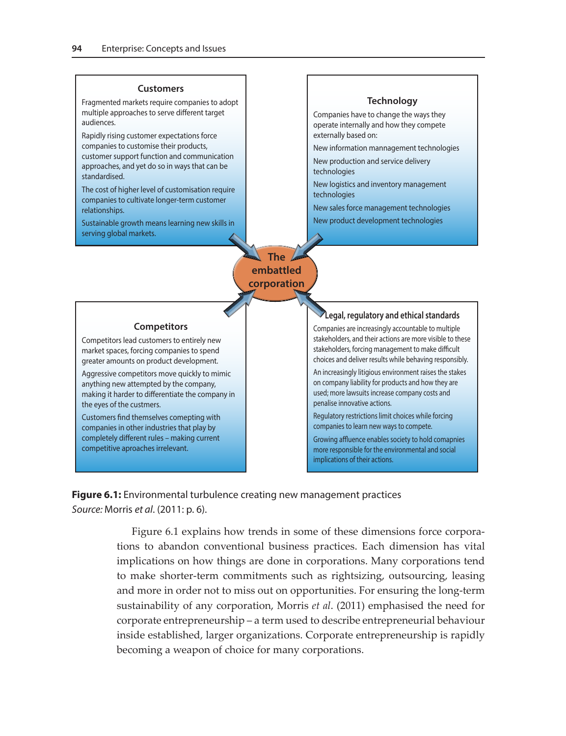#### **Customers**

Fragmented markets require companies to adopt multiple approaches to serve different target audiences.

Rapidly rising customer expectations force companies to customise their products, customer support function and communication approaches, and yet do so in ways that can be standardised.

The cost of higher level of customisation require companies to cultivate longer-term customer relationships.

Sustainable growth means learning new skills in serving global markets.

#### **Technology**

Companies have to change the ways they operate internally and how they compete externally based on:

New information mannagement technologies

New production and service delivery technologies

New logistics and inventory management technologies

New sales force management technologies

New product development technologies

**The embattled corporation**

#### **Competitors**

Competitors lead customers to entirely new market spaces, forcing companies to spend greater amounts on product development.

Aggressive competitors move quickly to mimic anything new attempted by the company, making it harder to differentiate the company in the eyes of the custmers.

Customers find themselves comepting with companies in other industries that play by completely different rules – making current competitive aproaches irrelevant.

#### **Legal, regulatory and ethical standards**

Companies are increasingly accountable to multiple stakeholders, and their actions are more visible to these stakeholders, forcing management to make difficult choices and deliver results while behaving responsibly.

An increasingly litigious environment raises the stakes on company liability for products and how they are used; more lawsuits increase company costs and penalise innovative actions.

Regulatory restrictions limit choices while forcing companies to learn new ways to compete.

Growing affluence enables society to hold comapnies more responsible for the environmental and social implications of their actions.

**Figure 6.1:** Environmental turbulence creating new management practices *Source:* Morris *et al*. (2011: p. 6).

> Figure 6.1 explains how trends in some of these dimensions force corporations to abandon conventional business practices. Each dimension has vital implications on how things are done in corporations. Many corporations tend to make shorter-term commitments such as rightsizing, outsourcing, leasing and more in order not to miss out on opportunities. For ensuring the long-term sustainability of any corporation, Morris *et al*. (2011) emphasised the need for corporate entrepreneurship – a term used to describe entrepreneurial behaviour inside established, larger organizations. Corporate entrepreneurship is rapidly becoming a weapon of choice for many corporations.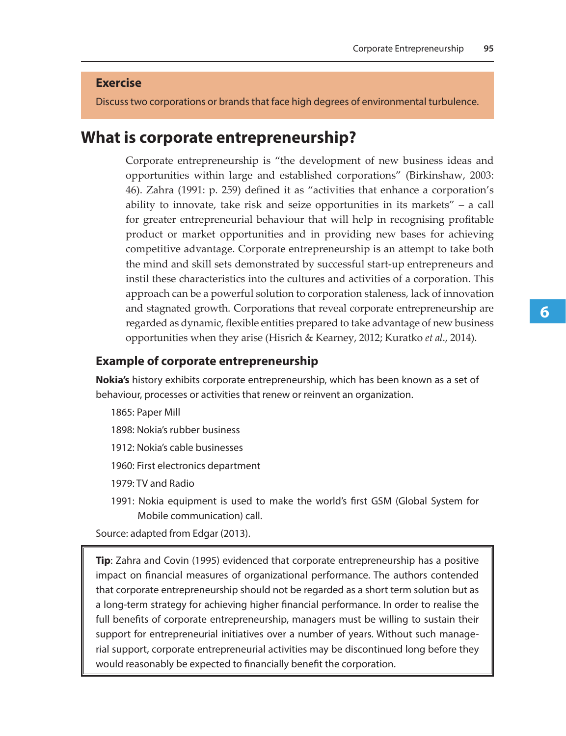#### **Exercise**

Discuss two corporations or brands that face high degrees of environmental turbulence.

### **What is corporate entrepreneurship?**

Corporate entrepreneurship is "the development of new business ideas and opportunities within large and established corporations" (Birkinshaw, 2003: 46). Zahra (1991: p. 259) defined it as "activities that enhance a corporation's ability to innovate, take risk and seize opportunities in its markets" – a call for greater entrepreneurial behaviour that will help in recognising profitable product or market opportunities and in providing new bases for achieving competitive advantage. Corporate entrepreneurship is an attempt to take both the mind and skill sets demonstrated by successful start-up entrepreneurs and instil these characteristics into the cultures and activities of a corporation. This approach can be a powerful solution to corporation staleness, lack of innovation and stagnated growth. Corporations that reveal corporate entrepreneurship are regarded as dynamic, flexible entities prepared to take advantage of new business opportunities when they arise (Hisrich & Kearney, 2012; Kuratko *et al*., 2014).

#### **Example of corporate entrepreneurship**

**Nokia's** history exhibits corporate entrepreneurship, which has been known as a set of behaviour, processes or activities that renew or reinvent an organization.

1865: Paper Mill

- 1898: Nokia's rubber business
- 1912: Nokia's cable businesses
- 1960: First electronics department

1979: TV and Radio

1991: Nokia equipment is used to make the world's first GSM (Global System for Mobile communication) call.

Source: adapted from Edgar (2013).

**Tip**: Zahra and Covin (1995) evidenced that corporate entrepreneurship has a positive impact on financial measures of organizational performance. The authors contended that corporate entrepreneurship should not be regarded as a short term solution but as a long-term strategy for achieving higher financial performance. In order to realise the full benefits of corporate entrepreneurship, managers must be willing to sustain their support for entrepreneurial initiatives over a number of years. Without such managerial support, corporate entrepreneurial activities may be discontinued long before they would reasonably be expected to financially benefit the corporation.